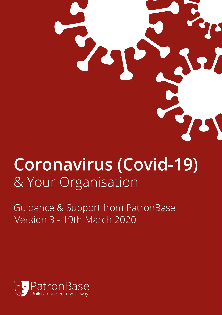# **Coronavirus (Covid-19)** & Your Organisation

Guidance & Support from PatronBase Version 3 - 19th March 2020

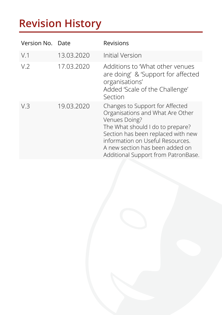## **Revision History**

| Version No.    | Date       | Revisions                                                                                                                                                                                                                                                                    |
|----------------|------------|------------------------------------------------------------------------------------------------------------------------------------------------------------------------------------------------------------------------------------------------------------------------------|
| V.1            | 13.03.2020 | Initial Version                                                                                                                                                                                                                                                              |
| V <sub>2</sub> | 17.03.2020 | Additions to 'What other venues<br>are doing' & 'Support for affected<br>organisations'<br>Added 'Scale of the Challenge'<br>Section                                                                                                                                         |
| V.3            | 19.03.2020 | Changes to Support for Affected<br>Organisations and What Are Other<br>Venues Doing?<br>The What should I do to prepare?<br>Section has been replaced with new<br>information on Useful Resources.<br>A new section has been added on<br>Additional Support from PatronBase. |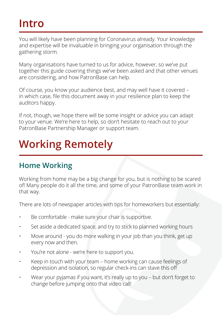#### **Intro**

You will likely have been planning for Coronavirus already. Your knowledge and expertise will be invaluable in bringing your organisation through the gathering storm.

Many organisations have turned to us for advice, however, so we've put together this guide covering things we've been asked and that other venues are considering, and how PatronBase can help.

Of course, you know your audience best, and may well have it covered – in which case, file this document away in your resilience plan to keep the auditors happy.

If not, though, we hope there will be some insight or advice you can adapt to your venue. We're here to help, so don't hesitate to reach out to your PatronBase Partnership Manager or support team.

## **Working Remotely**

#### **Home Working**

Working from home may be a big change for you, but is nothing to be scared of! Many people do it all the time, and some of your PatronBase team work in that way.

There are lots of newspaper articles with tips for homeworkers but essentially:

- Be comfortable make sure your chair is supportive.
- Set aside a dedicated space, and try to stick to planned working hours
- Move around you do more walking in your job than you think, get up every now and then.
- You're not alone we're here to support you.
- Keep in touch with your team home working can cause feelings of depression and isolation, so regular check-ins can stave this off
- Wear your pyjamas if you want, it's really up to you but don't forget to change before jumping onto that video call!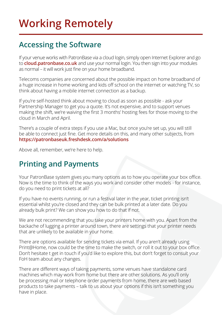## **Working Remotely**

#### **Accessing the Software**

If your venue works with PatronBase via a cloud login, simply open Internet Explorer and go to **[cloud.patronbase.co.uk](http://cloud.patronbase.co.uk)** and use your normal login. You then sign into your modules as normal – it will work just fine on your home broadband.

Telecoms companies are concerned about the possible impact on home broadband of a huge increase in home working and kids off school on the internet or watching TV, so think about having a mobile internet connection as a backup.

If you're self-hosted think about moving to cloud as soon as possible - ask your Partnership Manager to get you a quote. It's not expensive, and to support venues making the shift, we're waiving the first 3 months' hosting fees for those moving to the cloud in March and April.

There's a couple of extra steps if you use a Mac, but once you're set up, you will still be able to connect just fine. Get more details on this, and many other subjects, from **<https://patronbaseuk.freshdesk.com/a/solutions>**

Above all, remember, we're here to help.

#### **Printing and Payments**

Your PatronBase system gives you many options as to how you operate your box office. Now is the time to think of the ways you work and consider other models - for instance, do you need to print tickets at all?

If you have no events running, or run a festival later in the year, ticket printing isn't essential whilst you're closed and they can be bulk printed at a later date. Do you already bulk print? We can show you how to do that if not.

We are not recommending that you take your printers home with you. Apart from the backache of lugging a printer around town, there are settings that your printer needs that are unlikely to be available in your home.

There are options available for sending tickets via email. If you aren't already using Print@Home, now could be the time to make the switch, or roll it out to your box office. Don't hesitate t get in touch if you'd like to explore this, but don't forget to consult your FoH team about any changes.

There are different ways of taking payments, some venues have standalone card machines which may work from home but there are other solutions. As you'll only be processing mail or telephone order payments from home, there are web based products to take payments – talk to us about your options if this isn't something you have in place.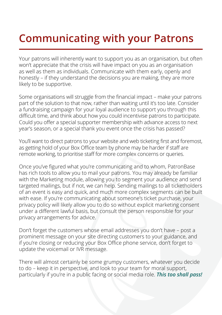## **Communicating with your Patrons**

Your patrons will inherently want to support you as an organisation, but often won't appreciate that the crisis will have impact on you as an organisation as well as them as individuals. Communicate with them early, openly and honestly – if they understand the decisions you are making, they are more likely to be supportive.

Some organisations will struggle from the financial impact – make your patrons part of the solution to that now, rather than waiting until it's too late. Consider a fundraising campaign for your loyal audience to support you through this difficult time, and think about how you could incentivise patrons to participate. Could you offer a special supporter membership with advance access to next year's season, or a special thank you event once the crisis has passed?

You'll want to direct patrons to your website and web ticketing first and foremost, as getting hold of your Box Office team by phone may be harder if staff are remote working, to prioritise staff for more complex concerns or queries.

Once you've figured what you're communicating and to whom, PatronBase has rich tools to allow you to mail your patrons. You may already be familiar with the Marketing module, allowing you to segment your audience and send targeted mailings, but if not, we can help. Sending mailings to all ticketholders of an event is easy and quick, and much more complex segments can be built with ease. If you're communicating about someone's ticket purchase, your privacy policy will likely allow you to do so without explicit marketing consent under a different lawful basis, but consult the person responsible for your privacy arrangements for advice.

Don't forget the customers whose email addresses you don't have – post a prominent message on your site directing customers to your guidance, and if you're closing or reducing your Box Office phone service, don't forget to update the voicemail or IVR message.

There will almost certainly be some grumpy customers, whatever you decide to do – keep it in perspective, and look to your team for moral support, particularly if you're in a public facing or social media role. *This too shall pass!*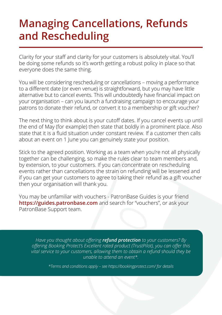#### **Managing Cancellations, Refunds and Rescheduling**

Clarity for your staff and clarity for your customers is absolutely vital. You'll be doing some refunds so it's worth getting a robust policy in place so that everyone does the same thing.

You will be considering rescheduling or cancellations – moving a performance to a different date (or even venue) is straightforward, but you may have little alternative but to cancel events. This will undoubtedly have financial impact on your organisation – can you launch a fundraising campaign to encourage your patrons to donate their refund, or convert it to a membership or gift voucher?

The next thing to think about is your cutoff dates. If you cancel events up until the end of May (for example) then state that boldly in a prominent place. Also state that it is a fluid situation under constant review. If a customer then calls about an event on 1 June you can genuinely state your position.

Stick to the agreed position. Working as a team when you're not all physically together can be challenging, so make the rules clear to team members and, by extension, to your customers. If you can concentrate on rescheduling events rather than cancellations the strain on refunding will be lessened and if you can get your customers to agree to taking their refund as a gift voucher then your organisation will thank you.

You may be unfamiliar with vouchers - PatronBase Guides is your friend **<https://guides.patronbase.com>** and search for "vouchers", or ask your PatronBase Support team.

*Have you thought about offering refund protection to your customers? By offering Booking Protect's Excellent rated product (TrustPilot), you can offer this vital service to your customers, allowing them to obtain a refund should they be unable to attend an event\*.*

*\*Terms and conditions apply – see <https://bookingprotect.com/> for details*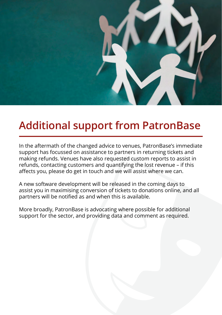

#### **Additional support from PatronBase**

In the aftermath of the changed advice to venues, PatronBase's immediate support has focussed on assistance to partners in returning tickets and making refunds. Venues have also requested custom reports to assist in refunds, contacting customers and quantifying the lost revenue – if this affects you, please do get in touch and we will assist where we can.

A new software development will be released in the coming days to assist you in maximising conversion of tickets to donations online, and all partners will be notified as and when this is available.

More broadly, PatronBase is advocating where possible for additional support for the sector, and providing data and comment as required.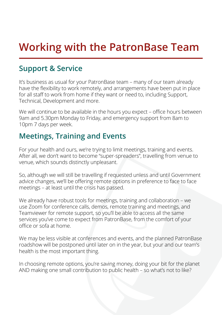## **Working with the PatronBase Team**

#### **Support & Service**

It's business as usual for your PatronBase team – many of our team already have the flexibility to work remotely, and arrangements have been put in place for all staff to work from home if they want or need to, including Support, Technical, Development and more.

We will continue to be available in the hours you expect – office hours between 9am and 5.30pm Monday to Friday, and emergency support from 8am to 10pm 7 days per week.

#### **Meetings, Training and Events**

For your health and ours, we're trying to limit meetings, training and events. After all, we don't want to become "super-spreaders", travelling from venue to venue, which sounds distinctly unpleasant.

So, although we will still be travelling if requested unless and until Government advice changes, we'll be offering remote options in preference to face to face meetings – at least until the crisis has passed.

We already have robust tools for meetings, training and collaboration – we use Zoom for conference calls, demos, remote training and meetings, and Teamviewer for remote support, so you'll be able to access all the same services you've come to expect from PatronBase, from the comfort of your office or sofa at home.

We may be less visible at conferences and events, and the planned PatronBase roadshow will be postponed until later on in the year, but your and our team's health is the most important thing.

In choosing remote options, you're saving money, doing your bit for the planet AND making one small contribution to public health – so what's not to like?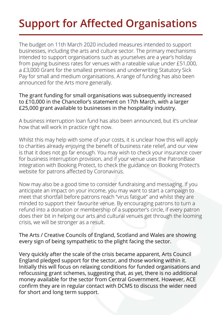## **Support for Affected Organisations**

The budget on 11th March 2020 included measures intended to support businesses, including the arts and culture sector. The primary mechanisms intended to support organisations such as yourselves are a year's holiday from paying business rates for venues with a rateable value under £51,000, a £3,000 Grant for the smallest premises and underwriting Statutory Sick Pay for small and medium organisations. A range of funding has also been announced for the Arts more generally.

#### The grant funding for small organisations was subsequently increased to £10,000 in the Chancellor's statement on 17th March, with a larger £25,000 grant available to businesses in the hospitality industry.

A business interruption loan fund has also been announced, but it's unclear how that will work in practice right now.

Whilst this may help with some of your costs, it is unclear how this will apply to charities already enjoying the benefit of business rate relief, and our view is that it does not go far enough. You may wish to check your insurance cover for business interruption provision, and if your venue uses the PatronBase integration with Booking Protect, to check the guidance on Booking Protect's website for patrons affected by Coronavirus.

Now may also be a good time to consider fundraising and messaging. If you anticipate an impact on your income, you may want to start a campaign to meet that shortfall before patrons reach "virus fatigue" and whilst they are minded to support their favourite venue. By encouraging patrons to turn a refund into a donation or membership of a supporter's circle, if every patron does their bit in helping our arts and cultural venues get through the looming crisis, we will be stronger as a result.

#### The Arts / Creative Councils of England, Scotland and Wales are showing every sign of being sympathetic to the plight facing the sector.

Very quickly after the scale of the crisis became apparent, Arts Council England pledged support for the sector, and those working within it. Initially this will focus on relaxing conditions for funded organisations and refocussing grant schemes, suggesting that, as yet, there is no additional money available for the sector from Central Government. However, ACE confirm they are in regular contact with DCMS to discuss the wider need for short and long term support.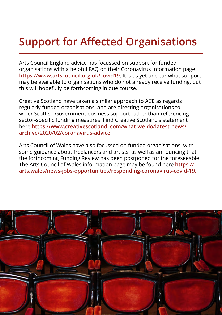## **Support for Affected Organisations**

Arts Council England advice has focussed on support for funded organisations with a helpful FAQ on their Coronavirus Information page **<https://www.artscouncil.org.uk/covid19>**. It is as yet unclear what support may be available to organisations who do not already receive funding, but this will hopefully be forthcoming in due course.

Creative Scotland have taken a similar approach to ACE as regards regularly funded organisations, and are directing organisations to wider Scottish Government business support rather than referencing sector-specific funding measures. Find Creative Scotland's statement here **https://www.creativescotland. com/what-we-do/latest-news/ archive/2020/02/coronavirus-advice** 

Arts Council of Wales have also focussed on funded organisations, with some guidance about freelancers and artists, as well as announcing that the forthcoming Funding Review has been postponed for the foreseeable. The Arts Council of Wales information page may be found here **https:// arts.wales/news-jobs-opportunities/responding-coronavirus-covid-19.**

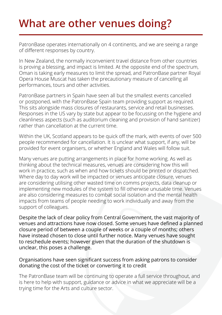## **What are other venues doing?**

PatronBase operates internationally on 4 continents, and we are seeing a range of different responses by country.

In New Zealand, the normally inconvenient travel distance from other countries is proving a blessing, and impact is limited. At the opposite end of the spectrum, Oman is taking early measures to limit the spread, and PatronBase partner Royal Opera House Muscat has taken the precautionary measure of cancelling all performances, tours and other activities.

PatronBase partners in Spain have seen all but the smallest events cancelled or postponed, with the PatronBase Spain team providing support as required. This sits alongside mass closures of restaurants, service and retail businesses. Responses in the US vary by state but appear to be focussing on the hygiene and cleanliness aspects (such as auditorium cleaning and provision of hand sanitizer) rather than cancellation at the current time.

Within the UK, Scotland appears to be quick off the mark, with events of over 500 people recommended for cancellation. It is unclear what support, if any, will be provided for event organisers, or whether England and Wales will follow suit.

Many venues are putting arrangements in place for home working. As well as thinking about the technical measures, venues are considering how this will work in practice, such as when and how tickets should be printed or dispatched. Where day to day work will be impacted or venues anticipate closure, venues are considering utilising other wasted time on comms projects, data cleanup or implementing new modules of the system to fill otherwise unusable time. Venues are also considering measures to combat social isolation and the mental health impacts from teams of people needing to work individually and away from the support of colleagues.

Despite the lack of clear policy from Central Government, the vast majority of venues and attractions have now closed. Some venues have defined a planned closure period of between a couple of weeks or a couple of months; others have instead chosen to close until further notice. Many venues have sought to reschedule events; however given that the duration of the shutdown is unclear, this poses a challenge.

#### Organisations have seen significant success from asking patrons to consider donating the cost of the ticket or converting it to credit

The PatronBase team will be continuing to operate a full service throughout, and is here to help with support, guidance or advice in what we appreciate will be a trying time for the Arts and culture sector.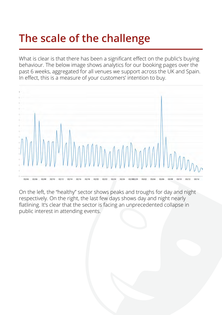## **The scale of the challenge**

What is clear is that there has been a significant effect on the public's buying behaviour. The below image shows analytics for our booking pages over the past 6 weeks, aggregated for all venues we support across the UK and Spain. In effect, this is a measure of your customers' intention to buy.



On the left, the "healthy" sector shows peaks and troughs for day and night respectively. On the right, the last few days shows day and night nearly flatlining. It's clear that the sector is facing an unprecedented collapse in public interest in attending events.